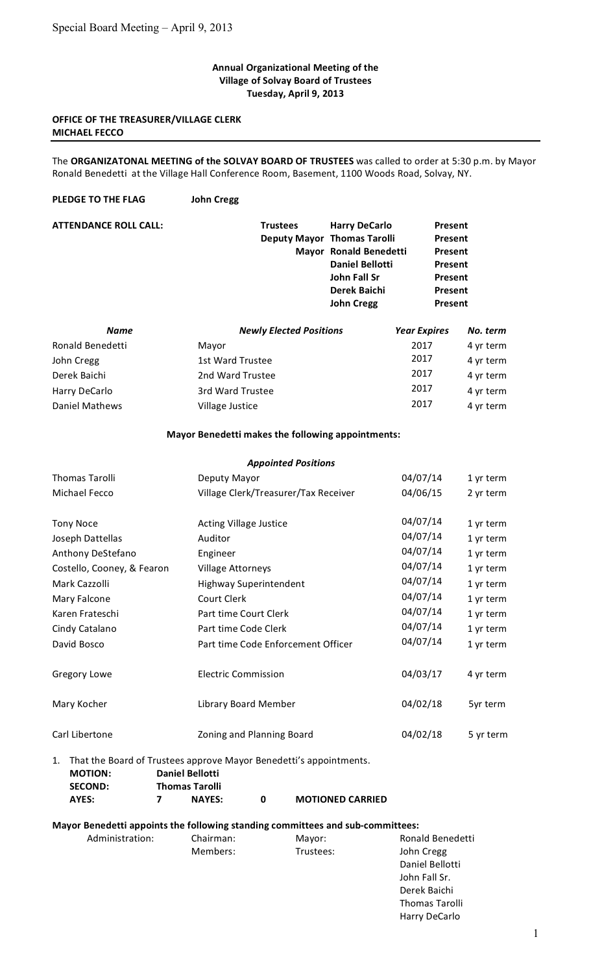#### **Annual
Organizational
Meeting
of
the Village
of
Solvay
Board
of
Trustees Tuesday,
April
9,
2013**

### **OFFICE OF THE TREASURER/VILLAGE CLERK MICHAEL
FECCO**

The ORGANIZATONAL MEETING of the SOLVAY BOARD OF TRUSTEES was called to order at 5:30 p.m. by Mayor Ronald Benedetti at the Village Hall Conference Room, Basement, 1100 Woods Road, Solvay, NY.

**PLEDGE
TO
THE
FLAG John
Cregg**

| <b>ATTENDANCE ROLL CALL:</b> | <b>Trustees</b><br><b>Deputy Mayor Thomas Tarolli</b> | <b>Harry DeCarlo</b><br>Mayor Ronald Benedetti<br><b>Daniel Bellotti</b><br>John Fall Sr<br>Derek Baichi<br><b>John Cregg</b> |                     | Present<br>Present<br>Present<br>Present<br>Present<br>Present<br>Present |  |
|------------------------------|-------------------------------------------------------|-------------------------------------------------------------------------------------------------------------------------------|---------------------|---------------------------------------------------------------------------|--|
| <b>Name</b>                  | <b>Newly Elected Positions</b>                        |                                                                                                                               | <b>Year Expires</b> | No. term                                                                  |  |
| Ronald Benedetti             | Mayor                                                 |                                                                                                                               | 2017                | 4 yr term                                                                 |  |
| John Cregg                   | 1st Ward Trustee                                      |                                                                                                                               | 2017                | 4 yr term                                                                 |  |
| Derek Baichi                 | 2nd Ward Trustee                                      |                                                                                                                               | 2017                | 4 yr term                                                                 |  |
| Harry DeCarlo                | 3rd Ward Trustee                                      |                                                                                                                               | 2017                | 4 yr term                                                                 |  |
| Daniel Mathews               | Village Justice                                       |                                                                                                                               | 2017                | 4 yr term                                                                 |  |

#### **Mayor
Benedetti
makes
the
following
appointments:**

|                            | <b>Appointed Positions</b>           |          |           |
|----------------------------|--------------------------------------|----------|-----------|
| <b>Thomas Tarolli</b>      | Deputy Mayor                         | 04/07/14 | 1 yr term |
| Michael Fecco              | Village Clerk/Treasurer/Tax Receiver | 04/06/15 | 2 yr term |
| <b>Tony Noce</b>           | <b>Acting Village Justice</b>        | 04/07/14 | 1 yr term |
| Joseph Dattellas           | Auditor                              | 04/07/14 | 1 yr term |
| Anthony DeStefano          | Engineer                             | 04/07/14 | 1 yr term |
| Costello, Cooney, & Fearon | <b>Village Attorneys</b>             | 04/07/14 | 1 yr term |
| Mark Cazzolli              | Highway Superintendent               | 04/07/14 | 1 yr term |
| Mary Falcone               | Court Clerk                          | 04/07/14 | 1 yr term |
| Karen Frateschi            | Part time Court Clerk                | 04/07/14 | 1 yr term |
| Cindy Catalano             | Part time Code Clerk                 | 04/07/14 | 1 yr term |
| David Bosco                | Part time Code Enforcement Officer   | 04/07/14 | 1 yr term |
| Gregory Lowe               | <b>Electric Commission</b>           | 04/03/17 | 4 yr term |
| Mary Kocher                | Library Board Member                 | 04/02/18 | 5yr term  |
| Carl Libertone             | Zoning and Planning Board            | 04/02/18 | 5 yr term |
|                            |                                      |          |           |

1. That
the
Board
of
Trustees
approve
Mayor
Benedetti's
appointments. **MOTION: Daniel
Bellotti SECOND: Thomas
Tarolli AYES: 7 NAYES: 0 MOTIONED
CARRIED**

#### **Mayor
Benedetti
appoints
the
following
standing
committees
and
sub‐committees:**

| Administration: | Chairman: | Mayor:    | Ronald Benedetti      |
|-----------------|-----------|-----------|-----------------------|
|                 | Members:  | Trustees: | John Cregg            |
|                 |           |           | Daniel Bellotti       |
|                 |           |           | John Fall Sr.         |
|                 |           |           | Derek Baichi          |
|                 |           |           | <b>Thomas Tarolli</b> |
|                 |           |           | Harry DeCarlo         |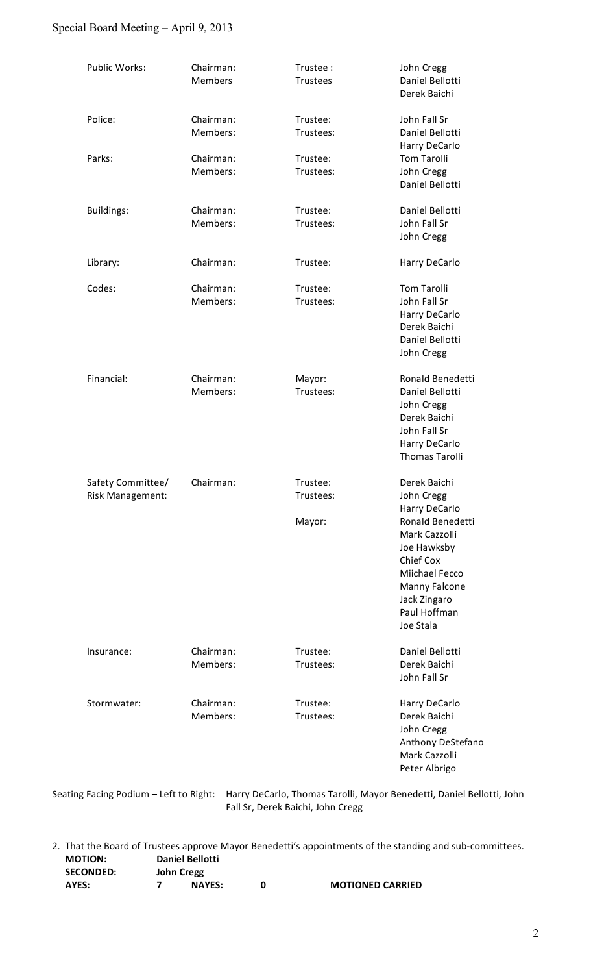# Special Board Meeting – April 9, 2013

| Public Works:     | Chairman:<br><b>Members</b> | Trustee:<br><b>Trustees</b> | John Cregg<br>Daniel Bellotti<br>Derek Baichi |
|-------------------|-----------------------------|-----------------------------|-----------------------------------------------|
| Police:           | Chairman:<br>Members:       | Trustee:<br>Trustees:       | John Fall Sr<br>Daniel Bellotti               |
|                   |                             |                             | Harry DeCarlo                                 |
| Parks:            | Chairman:                   | Trustee:                    | <b>Tom Tarolli</b>                            |
|                   | Members:                    | Trustees:                   | John Cregg                                    |
|                   |                             |                             | Daniel Bellotti                               |
| <b>Buildings:</b> | Chairman:                   | Trustee:                    | Daniel Bellotti                               |
|                   | Members:                    | Trustees:                   | John Fall Sr                                  |
|                   |                             |                             | John Cregg                                    |
| Library:          | Chairman:                   | Trustee:                    | Harry DeCarlo                                 |
| Codes:            | Chairman:                   | Trustee:                    | <b>Tom Tarolli</b>                            |
|                   | Members:                    | Trustees:                   | John Fall Sr                                  |
|                   |                             |                             | Harry DeCarlo                                 |
|                   |                             |                             | Derek Baichi                                  |
|                   |                             |                             | Daniel Bellotti                               |
|                   |                             |                             | John Cregg                                    |
| Financial:        | Chairman:                   | Mayor:                      | Ronald Benedetti                              |
|                   | Members:                    | Trustees:                   | Daniel Bellotti                               |
|                   |                             |                             | John Cregg                                    |
|                   |                             |                             | Derek Baichi                                  |
|                   |                             |                             | John Fall Sr                                  |
|                   |                             |                             | Harry DeCarlo                                 |
|                   |                             |                             | <b>Thomas Tarolli</b>                         |
| Safety Committee/ | Chairman:                   | Trustee:                    | Derek Baichi                                  |
| Risk Management:  |                             | Trustees:                   | John Cregg                                    |
|                   |                             |                             | Harry DeCarlo                                 |
|                   |                             | Mayor:                      | Ronald Benedetti                              |
|                   |                             |                             | Mark Cazzolli                                 |
|                   |                             |                             | Joe Hawksby                                   |
|                   |                             |                             | Chief Cox                                     |
|                   |                             |                             | Miichael Fecco<br>Manny Falcone               |
|                   |                             |                             | Jack Zingaro                                  |
|                   |                             |                             | Paul Hoffman                                  |
|                   |                             |                             | Joe Stala                                     |
| Insurance:        | Chairman:                   | Trustee:                    | Daniel Bellotti                               |
|                   | Members:                    | Trustees:                   | Derek Baichi                                  |
|                   |                             |                             | John Fall Sr                                  |
| Stormwater:       | Chairman:                   | Trustee:                    | Harry DeCarlo                                 |
|                   | Members:                    | Trustees:                   | Derek Baichi                                  |
|                   |                             |                             | John Cregg                                    |
|                   |                             |                             | Anthony DeStefano                             |
|                   |                             |                             | Mark Cazzolli<br>Peter Albrigo                |
|                   |                             |                             |                                               |

2. That
the
Board
of
Trustees
approve
Mayor
Benedetti's
appointments
of
the
standing
and
sub‐committees. **MOTION: Daniel
Bellotti SECONDED: John
Cregg AYES: 7 NAYES: 0 MOTIONED
CARRIED**